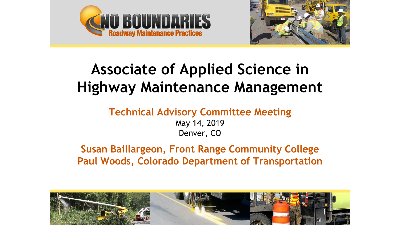



# **Associate of Applied Science in Highway Maintenance Management**

#### **Technical Advisory Committee Meeting** May 14, 2019 Denver, CO

**Susan Baillargeon, Front Range Community College Paul Woods, Colorado Department of Transportation**

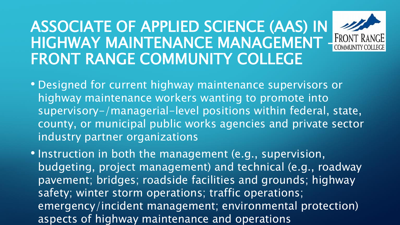# ASSOCIATE OF APPLIED SCIENCE (AAS) IN HIGHWAY MAINTENANCE MANAGEMENT FRONT R FRONT RANGE COMMUNITY COLLEGE



- Designed for current highway maintenance supervisors or highway maintenance workers wanting to promote into supervisory-/managerial-level positions within federal, state, county, or municipal public works agencies and private sector industry partner organizations
- Instruction in both the management (e.g., supervision, budgeting, project management) and technical (e.g., roadway pavement; bridges; roadside facilities and grounds; highway safety; winter storm operations; traffic operations; emergency/incident management; environmental protection) aspects of highway maintenance and operations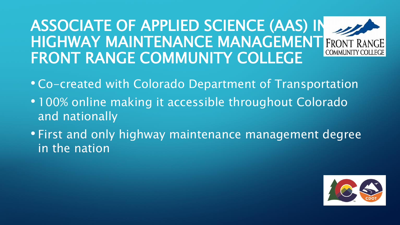#### ASSOCIATE OF APPLIED SCIENCE (AAS) IN HIGHWAY MAINTENANCE MANAGEMENT FRONT **COMMUNITY COLLEGI** FRONT RANGE COMMUNITY COLLEGE

- Co-created with Colorado Department of Transportation
- 100% online making it accessible throughout Colorado and nationally
- First and only highway maintenance management degree in the nation

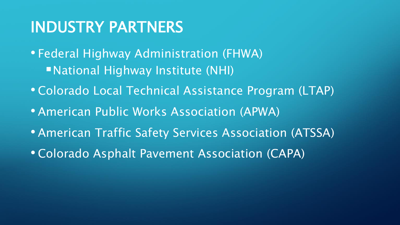# INDUSTRY PARTNERS

- Federal Highway Administration (FHWA) National Highway Institute (NHI)
- Colorado Local Technical Assistance Program (LTAP)
- American Public Works Association (APWA)
- American Traffic Safety Services Association (ATSSA)
- Colorado Asphalt Pavement Association (CAPA)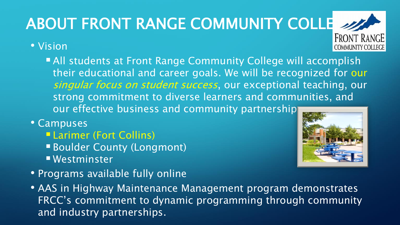#### **ABOUT FRONT RANGE COMMUNITY COLLE 2 FRONT RANGE**

#### • Vision

- **All students at Front Range Community College will accomplish** their educational and career goals. We will be recognized for our singular focus on student success, our exceptional teaching, our strong commitment to diverse learners and communities, and our effective business and community partnership
- Campuses
	- Larimer (Fort Collins)
	- Boulder County (Longmont)
	- Westminster
- Programs available fully online
- AAS in Highway Maintenance Management program demonstrates FRCC's commitment to dynamic programming through community and industry partnerships.



**COMMUNITY COLLEGI**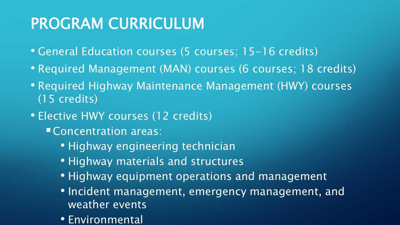# PROGRAM CURRICULUM

- General Education courses (5 courses; 15-16 credits)
- Required Management (MAN) courses (6 courses; 18 credits)
- Required Highway Maintenance Management (HWY) courses (15 credits)
- Elective HWY courses (12 credits)
	- Concentration areas:
		- Highway engineering technician
		- Highway materials and structures
		- Highway equipment operations and management
		- Incident management, emergency management, and weather events
		- Environmental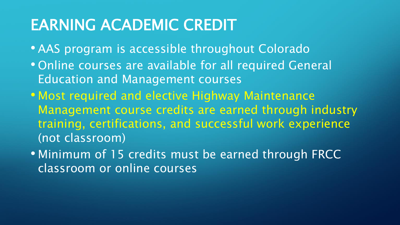# EARNING ACADEMIC CREDIT

- AAS program is accessible throughout Colorado
- Online courses are available for all required General Education and Management courses
- Most required and elective Highway Maintenance Management course credits are earned through industry training, certifications, and successful work experience (not classroom)
- Minimum of 15 credits must be earned through FRCC classroom or online courses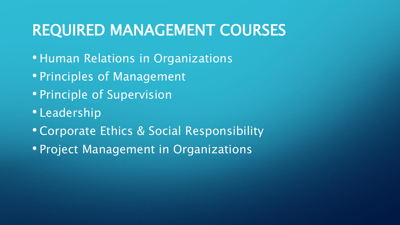# REQUIRED MANAGEMENT COURSES

- Human Relations in Organizations
- Principles of Management
- Principle of Supervision
- Leadership
- Corporate Ethics & Social Responsibility
- Project Management in Organizations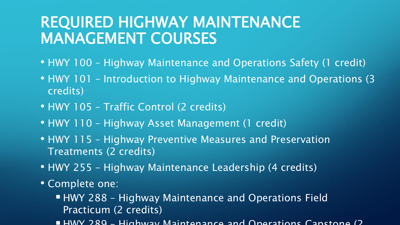### REQUIRED HIGHWAY MAINTENANCE MANAGEMENT COURSES

- HWY 100 Highway Maintenance and Operations Safety (1 credit)
- HWY 101 Introduction to Highway Maintenance and Operations (3 credits)
- HWY 105 Traffic Control (2 credits)
- HWY 110 Highway Asset Management (1 credit)
- HWY 115 Highway Preventive Measures and Preservation Treatments (2 credits)
- HWY 255 Highway Maintenance Leadership (4 credits)
- Complete one:
	- **HWY 288 Highway Maintenance and Operations Field** Practicum (2 credits)
	- $\blacksquare$  HWV 289 Highway Maintenance and Operations Capstone (2)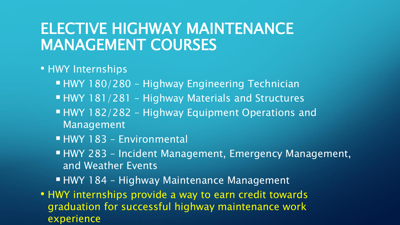#### ELECTIVE HIGHWAY MAINTENANCE MANAGEMENT COURSES

#### • HWY Internships

- HWY 180/280 Highway Engineering Technician
- **HWY 181/281 Highway Materials and Structures**
- HWY 182/282 Highway Equipment Operations and Management
- **HWY 183 Environmental**
- HWY 283 Incident Management, Emergency Management, and Weather Events
- HWY 184 Highway Maintenance Management
- HWY internships provide a way to earn credit towards graduation for successful highway maintenance work experience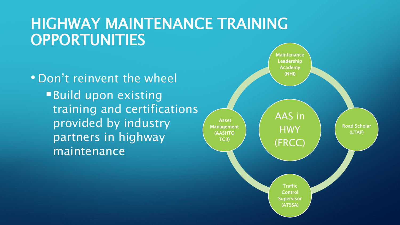### HIGHWAY MAINTENANCE TRAINING **OPPORTUNITIES**

• Don't reinvent the wheel Build upon existing training and certifications provided by industry partners in highway maintenance

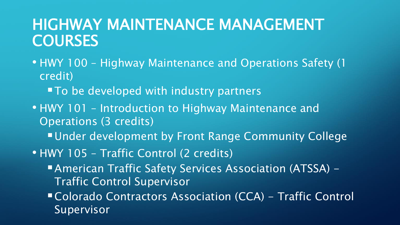### HIGHWAY MAINTENANCE MANAGEMENT **COURSES**

- HWY 100 Highway Maintenance and Operations Safety (1 credit)
	- To be developed with industry partners
- HWY 101 Introduction to Highway Maintenance and Operations (3 credits)
	- **Under development by Front Range Community College**
- HWY 105 Traffic Control (2 credits)
	- American Traffic Safety Services Association (ATSSA) Traffic Control Supervisor
	- Colorado Contractors Association (CCA) Traffic Control Supervisor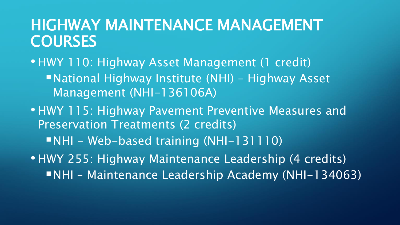#### HIGHWAY MAINTENANCE MANAGEMENT **COURSES**

- HWY 110: Highway Asset Management (1 credit) ■National Highway Institute (NHI) – Highway Asset Management (NHI-136106A)
- HWY 115: Highway Pavement Preventive Measures and Preservation Treatments (2 credits) NHI - Web-based training (NHI-131110) • HWY 255: Highway Maintenance Leadership (4 credits)
	- NHI Maintenance Leadership Academy (NHI-134063)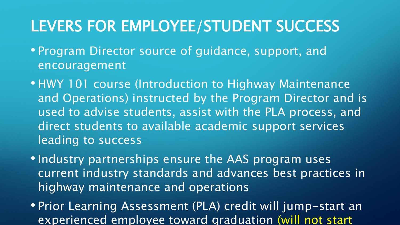# LEVERS FOR EMPLOYEE/STUDENT SUCCESS

- Program Director source of guidance, support, and encouragement
- HWY 101 course (Introduction to Highway Maintenance and Operations) instructed by the Program Director and is used to advise students, assist with the PLA process, and direct students to available academic support services leading to success
- Industry partnerships ensure the AAS program uses current industry standards and advances best practices in highway maintenance and operations
- Prior Learning Assessment (PLA) credit will jump-start an experienced employee toward graduation (will not start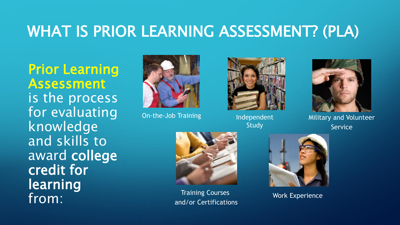# WHAT IS PRIOR LEARNING ASSESSMENT? (PLA)

Prior Learning Assessment is the process for evaluating knowledge and skills to award college credit for learning from:



On-the-Job Training



Independent **Study** 



Military and Volunteer Service



Training Courses and/or Certifications



Work Experience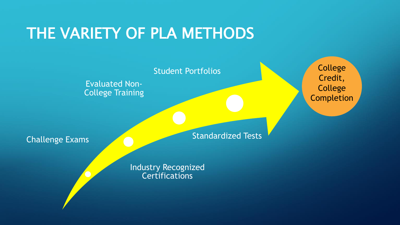## THE VARIETY OF PLA METHODS

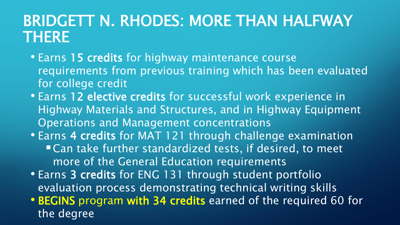# BRIDGETT N. RHODES: MORE THAN HALFWAY THERE

- Earns 15 credits for highway maintenance course requirements from previous training which has been evaluated for college credit
- Earns 12 elective credits for successful work experience in Highway Materials and Structures, and in Highway Equipment Operations and Management concentrations
- Earns 4 credits for MAT 121 through challenge examination ■ Can take further standardized tests, if desired, to meet more of the General Education requirements
- Earns 3 credits for ENG 131 through student portfolio evaluation process demonstrating technical writing skills
- BEGINS program with 34 credits earned of the required 60 for the degree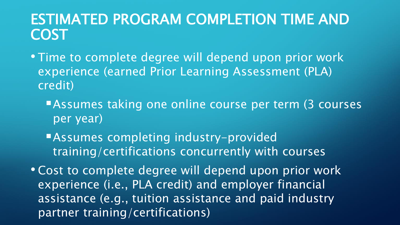#### ESTIMATED PROGRAM COMPLETION TIME AND COST

- Time to complete degree will depend upon prior work experience (earned Prior Learning Assessment (PLA) credit)
	- **Assumes taking one online course per term (3 courses** per year)
	- Assumes completing industry-provided training/certifications concurrently with courses

• Cost to complete degree will depend upon prior work experience (i.e., PLA credit) and employer financial assistance (e.g., tuition assistance and paid industry partner training/certifications)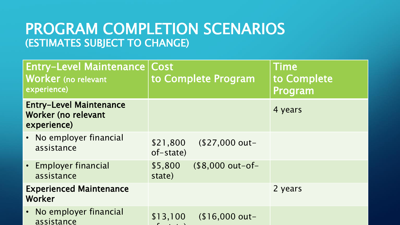#### PROGRAM COMPLETION SCENARIOS (ESTIMATES SUBJECT TO CHANGE)

| <b>Entry-Level Maintenance</b><br>Worker (no relevant<br>experience)        | Cost<br>to Complete Program             | <b>Time</b><br>to Complete<br>Program |
|-----------------------------------------------------------------------------|-----------------------------------------|---------------------------------------|
| <b>Entry-Level Maintenance</b><br><b>Worker (no relevant</b><br>experience) |                                         | 4 years                               |
| • No employer financial<br>assistance                                       | \$21,800<br>$$27,000 out-$<br>of-state) |                                       |
| • Employer financial<br>assistance                                          | (\$8,000 out-of-<br>\$5,800<br>state)   |                                       |
| <b>Experienced Maintenance</b><br>Worker                                    |                                         | 2 years                               |
| No employer financial<br>assistance                                         | \$13,100<br>$$16,000$ out-              |                                       |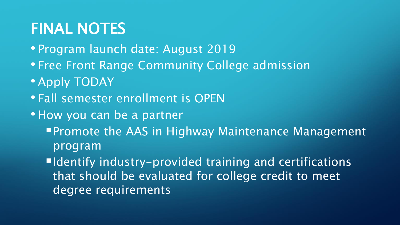# FINAL NOTES

- Program launch date: August 2019
- Free Front Range Community College admission
- Apply TODAY
- Fall semester enrollment is OPEN
- How you can be a partner
	- **Promote the AAS in Highway Maintenance Management** program

■Identify industry-provided training and certifications that should be evaluated for college credit to meet degree requirements